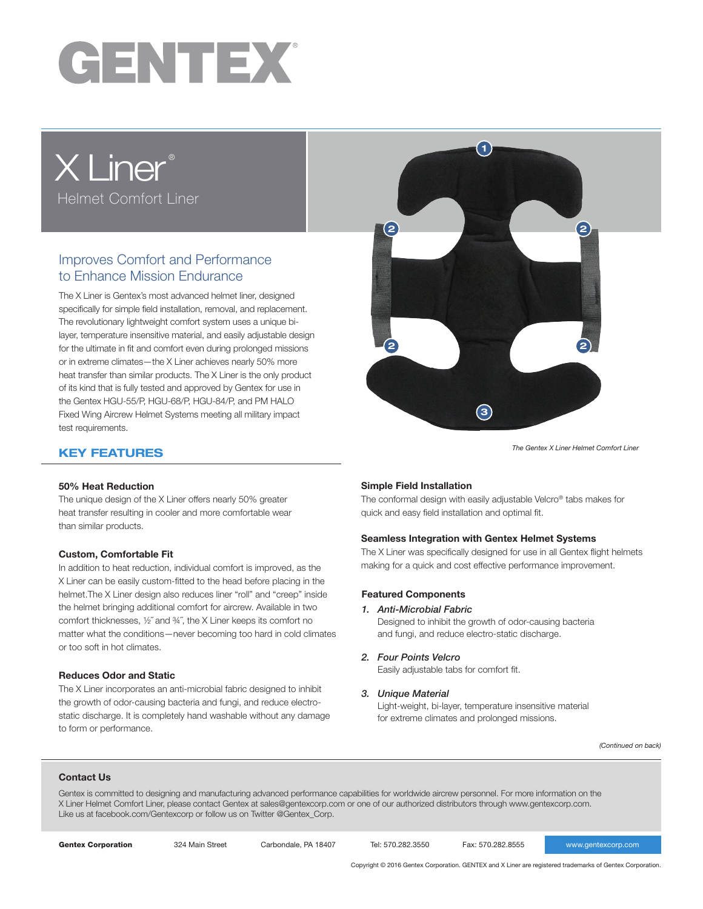

# X Liner® Helmet Comfort Liner

# Improves Comfort and Performance to Enhance Mission Endurance

The X Liner is Gentex's most advanced helmet liner, designed specifically for simple field installation, removal, and replacement. The revolutionary lightweight comfort system uses a unique bilayer, temperature insensitive material, and easily adjustable design for the ultimate in fit and comfort even during prolonged missions or in extreme climates—the X Liner achieves nearly 50% more heat transfer than similar products. The X Liner is the only product of its kind that is fully tested and approved by Gentex for use in the Gentex HGU-55/P, HGU-68/P, HGU-84/P, and PM HALO Fixed Wing Aircrew Helmet Systems meeting all military impact test requirements.



*The Gentex X Liner Helmet Comfort Liner*

## KEY FEATURES

#### 50% Heat Reduction

The unique design of the X Liner offers nearly 50% greater heat transfer resulting in cooler and more comfortable wear than similar products.

#### Custom, Comfortable Fit

In addition to heat reduction, individual comfort is improved, as the X Liner can be easily custom-fitted to the head before placing in the helmet.The X Liner design also reduces liner "roll" and "creep" inside the helmet bringing additional comfort for aircrew. Available in two comfort thicknesses, ½˝ and ¾˝, the X Liner keeps its comfort no matter what the conditions—never becoming too hard in cold climates or too soft in hot climates.

#### Reduces Odor and Static

The X Liner incorporates an anti-microbial fabric designed to inhibit the growth of odor-causing bacteria and fungi, and reduce electrostatic discharge. It is completely hand washable without any damage to form or performance.

#### Simple Field Installation

The conformal design with easily adjustable Velcro® tabs makes for quick and easy field installation and optimal fit.

#### Seamless Integration with Gentex Helmet Systems

The X Liner was specifically designed for use in all Gentex flight helmets making for a quick and cost effective performance improvement.

#### Featured Components

*1. Anti-Microbial Fabric*

Designed to inhibit the growth of odor-causing bacteria and fungi, and reduce electro-static discharge.

*2. Four Points Velcro*

Easily adjustable tabs for comfort fit.

*3. Unique Material*

Light-weight, bi-layer, temperature insensitive material for extreme climates and prolonged missions.

*(Continued on back)*

#### Contact Us

Gentex is committed to designing and manufacturing advanced performance capabilities for worldwide aircrew personnel. For more information on the X Liner Helmet Comfort Liner, please contact Gentex at sales@gentexcorp.com or one of our authorized distributors through www.gentexcorp.com. Like us at facebook.com/Gentexcorp or follow us on Twitter @Gentex\_Corp.

Gentex Corporation 324 Main Street Carbondale, PA 18407 Tel: 570.282.3550 Fax: 570.282.8555 www.gentexcorp.com

Copyright © 2016 Gentex Corporation. GENTEX and X Liner are registered trademarks of Gentex Corporation.